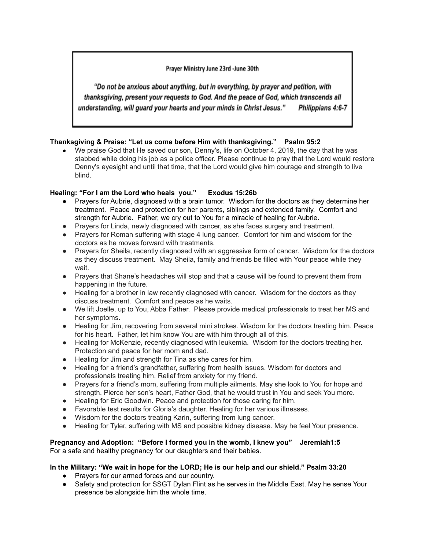## Prayer Ministry June 23rd -June 30th

"Do not be anxious about anything, but in everything, by prayer and petition, with thanksgiving, present your requests to God. And the peace of God, which transcends all understanding, will guard your hearts and your minds in Christ Jesus." Philippians 4:6-7

# **Thanksgiving & Praise: "Let us come before Him with thanksgiving." Psalm 95:2**

● We praise God that He saved our son, Denny's, life on October 4, 2019, the day that he was stabbed while doing his job as a police officer. Please continue to pray that the Lord would restore Denny's eyesight and until that time, that the Lord would give him courage and strength to live blind.

# **Healing: "For I am the Lord who heals you." Exodus 15:26b**

- Prayers for Aubrie, diagnosed with a brain tumor. Wisdom for the doctors as they determine her treatment. Peace and protection for her parents, siblings and extended family. Comfort and strength for Aubrie. Father, we cry out to You for a miracle of healing for Aubrie.
- Prayers for Linda, newly diagnosed with cancer, as she faces surgery and treatment.
- Prayers for Roman suffering with stage 4 lung cancer. Comfort for him and wisdom for the doctors as he moves forward with treatments.
- Prayers for Sheila, recently diagnosed with an aggressive form of cancer. Wisdom for the doctors as they discuss treatment. May Sheila, family and friends be filled with Your peace while they wait.
- Prayers that Shane's headaches will stop and that a cause will be found to prevent them from happening in the future.
- Healing for a brother in law recently diagnosed with cancer. Wisdom for the doctors as they discuss treatment. Comfort and peace as he waits.
- We lift Joelle, up to You, Abba Father. Please provide medical professionals to treat her MS and her symptoms.
- Healing for Jim, recovering from several mini strokes. Wisdom for the doctors treating him. Peace for his heart. Father, let him know You are with him through all of this.
- Healing for McKenzie, recently diagnosed with leukemia. Wisdom for the doctors treating her. Protection and peace for her mom and dad.
- Healing for Jim and strength for Tina as she cares for him.
- Healing for a friend's grandfather, suffering from health issues. Wisdom for doctors and professionals treating him. Relief from anxiety for my friend.
- Prayers for a friend's mom, suffering from multiple ailments. May she look to You for hope and strength. Pierce her son's heart, Father God, that he would trust in You and seek You more.
- Healing for Eric Goodwin. Peace and protection for those caring for him.
- Favorable test results for Gloria's daughter. Healing for her various illnesses.
- Wisdom for the doctors treating Karin, suffering from lung cancer.
- Healing for Tyler, suffering with MS and possible kidney disease. May he feel Your presence.

#### **Pregnancy and Adoption: "Before I formed you in the womb, I knew you" Jeremiah1:5** For a safe and healthy pregnancy for our daughters and their babies.

#### **In the Military: "We wait in hope for the LORD; He is our help and our shield." Psalm 33:20**

- Prayers for our armed forces and our country.
- Safety and protection for SSGT Dylan Flint as he serves in the Middle East. May he sense Your presence be alongside him the whole time.